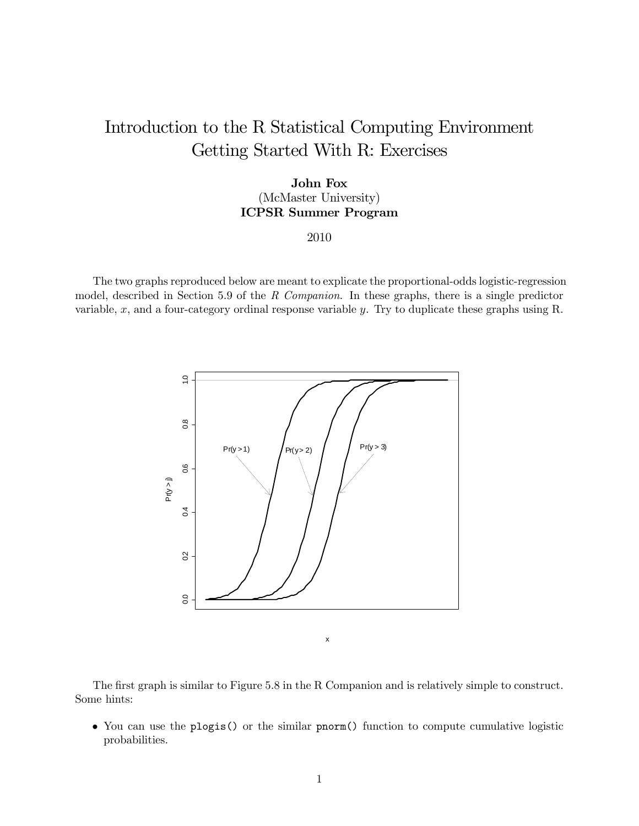## Introduction to the R Statistical Computing Environment Getting Started With R: Exercises

## John Fox (McMaster University) ICPSR Summer Program

## 2010

The two graphs reproduced below are meant to explicate the proportional-odds logistic-regression model, described in Section 5.9 of the R Companion. In these graphs, there is a single predictor variable,  $x$ , and a four-category ordinal response variable  $y$ . Try to duplicate these graphs using R.



The first graph is similar to Figure 5.8 in the R Companion and is relatively simple to construct. Some hints:

• You can use the plogis() or the similar pnorm() function to compute cumulative logistic probabilities.